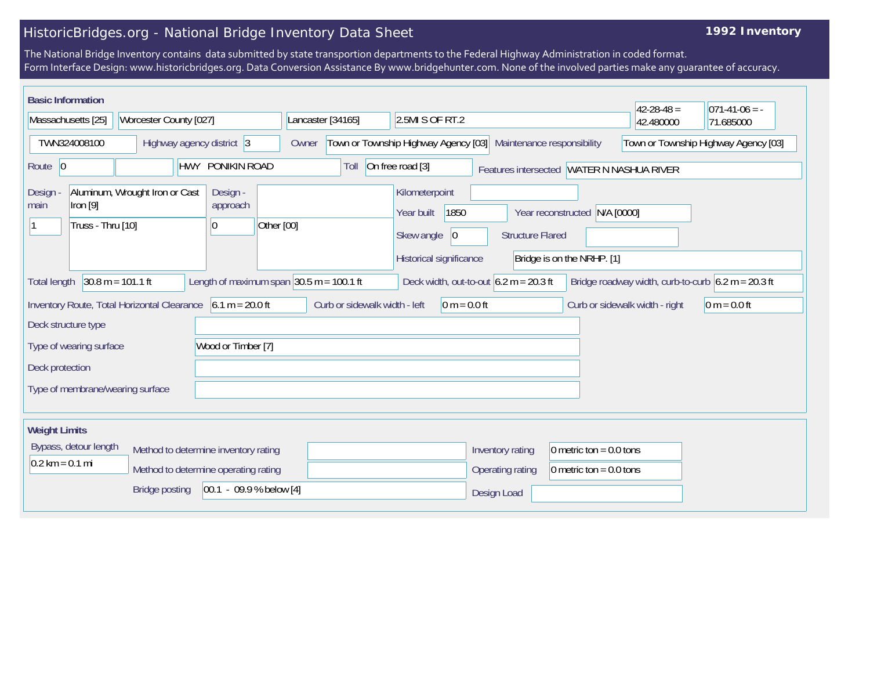## HistoricBridges.org - National Bridge Inventory Data Sheet

## **1992 Inventory**

The National Bridge Inventory contains data submitted by state transportion departments to the Federal Highway Administration in coded format. Form Interface Design: www.historicbridges.org. Data Conversion Assistance By www.bridgehunter.com. None of the involved parties make any guarantee of accuracy.

| <b>Basic Information</b>                                           |                                                                                                                                                                                                                         |                                                                             |                               |                                                                                      |                         |                                                             | $42 - 28 - 48 =$               | $071-41-06 = -$ |  |
|--------------------------------------------------------------------|-------------------------------------------------------------------------------------------------------------------------------------------------------------------------------------------------------------------------|-----------------------------------------------------------------------------|-------------------------------|--------------------------------------------------------------------------------------|-------------------------|-------------------------------------------------------------|--------------------------------|-----------------|--|
| Massachusetts [25]<br>Worcester County [027]                       |                                                                                                                                                                                                                         | 2.5MI S OF RT.2<br>Lancaster [34165]                                        |                               |                                                                                      | 42.480000               | 71.685000                                                   |                                |                 |  |
| TWN324008100<br>Highway agency district 3                          |                                                                                                                                                                                                                         | Town or Township Highway Agency [03]<br>Maintenance responsibility<br>Owner |                               |                                                                                      |                         | Town or Township Highway Agency [03]                        |                                |                 |  |
| HWY PONIKIN ROAD<br>Route 0                                        |                                                                                                                                                                                                                         |                                                                             | Toll                          | On free road [3]                                                                     |                         | Features intersected WATER N NASHUA RIVER                   |                                |                 |  |
| Design<br>$ $ Iron $[9]$<br>main<br>Truss - Thru [10]              | Aluminum, Wrought Iron or Cast                                                                                                                                                                                          | Design -<br>approach<br>Other [00]<br>10                                    |                               | Kilometerpoint<br>1850<br>Year built<br>Skew angle<br> 0 <br>Historical significance | <b>Structure Flared</b> | Year reconstructed N/A [0000]<br>Bridge is on the NRHP. [1] |                                |                 |  |
| <b>Total length</b>                                                | $30.8 m = 101.1 ft$<br>Length of maximum span $ 30.5 \text{ m} = 100.1 \text{ ft} $<br>Deck width, out-to-out $6.2 \text{ m} = 20.3 \text{ ft}$<br>Bridge roadway width, curb-to-curb $6.2 \text{ m} = 20.3 \text{ ft}$ |                                                                             |                               |                                                                                      |                         |                                                             |                                |                 |  |
| Inventory Route, Total Horizontal Clearance<br>Deck structure type |                                                                                                                                                                                                                         | $6.1 m = 20.0 ft$                                                           | Curb or sidewalk width - left | $0 m = 0.0 ft$                                                                       |                         |                                                             | Curb or sidewalk width - right | $0 m = 0.0 ft$  |  |
| Type of wearing surface                                            |                                                                                                                                                                                                                         | Wood or Timber [7]                                                          |                               |                                                                                      |                         |                                                             |                                |                 |  |
| Deck protection                                                    |                                                                                                                                                                                                                         |                                                                             |                               |                                                                                      |                         |                                                             |                                |                 |  |
| Type of membrane/wearing surface                                   |                                                                                                                                                                                                                         |                                                                             |                               |                                                                                      |                         |                                                             |                                |                 |  |
| <b>Weight Limits</b>                                               |                                                                                                                                                                                                                         |                                                                             |                               |                                                                                      |                         |                                                             |                                |                 |  |
| Bypass, detour length                                              |                                                                                                                                                                                                                         | Method to determine inventory rating                                        |                               |                                                                                      | Inventory rating        | 0 metric ton = $0.0$ tons                                   |                                |                 |  |
| $0.2 \text{ km} = 0.1 \text{ mi}$                                  |                                                                                                                                                                                                                         | Method to determine operating rating                                        |                               |                                                                                      | Operating rating        | 0 metric ton = $0.0$ tons                                   |                                |                 |  |
|                                                                    | <b>Bridge posting</b>                                                                                                                                                                                                   | $ 00.1 - 09.9 %$ below [4]                                                  |                               |                                                                                      | Design Load             |                                                             |                                |                 |  |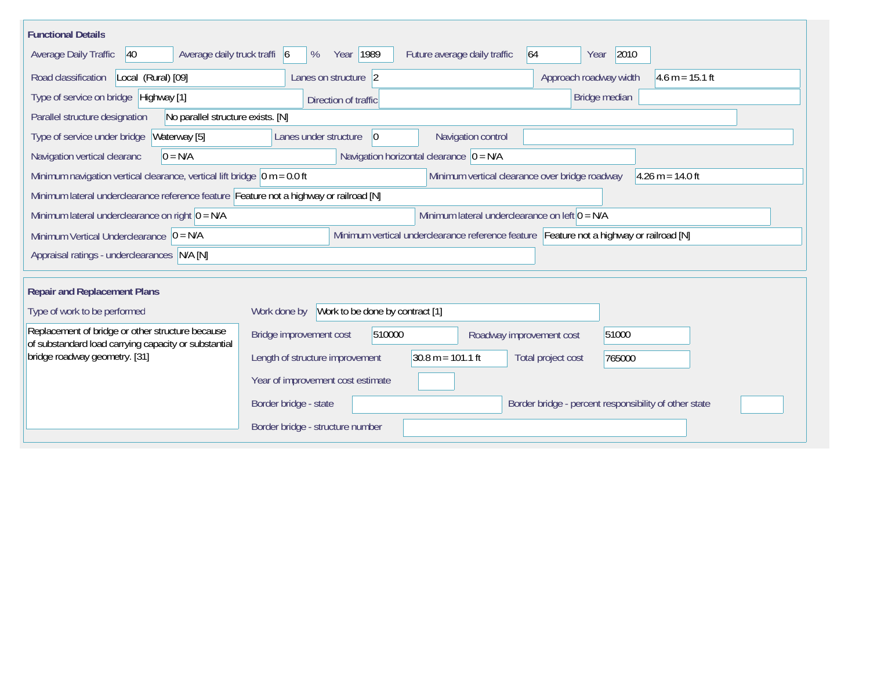| <b>Functional Details</b>                                                                                |                                                                                         |  |  |  |  |  |  |  |
|----------------------------------------------------------------------------------------------------------|-----------------------------------------------------------------------------------------|--|--|--|--|--|--|--|
| Average daily truck traffi 6<br>Average Daily Traffic<br>$ 40\rangle$                                    | 2010<br>Year 1989<br>Future average daily traffic<br>64<br>%<br>Year                    |  |  |  |  |  |  |  |
| Road classification<br>Local (Rural) [09]                                                                | Lanes on structure 2<br>Approach roadway width<br>$4.6 m = 15.1 ft$                     |  |  |  |  |  |  |  |
| Type of service on bridge Highway [1]                                                                    | Bridge median<br>Direction of traffic                                                   |  |  |  |  |  |  |  |
| No parallel structure exists. [N]<br>Parallel structure designation                                      |                                                                                         |  |  |  |  |  |  |  |
| Waterway [5]<br>Type of service under bridge                                                             | 0 <br>Navigation control<br>Lanes under structure                                       |  |  |  |  |  |  |  |
| Navigation vertical clearanc<br>$0 = N/A$                                                                | Navigation horizontal clearance $ 0 = N/A$                                              |  |  |  |  |  |  |  |
| Minimum navigation vertical clearance, vertical lift bridge $ 0 m = 0.0 ft$                              | Minimum vertical clearance over bridge roadway<br>$4.26$ m = 14.0 ft                    |  |  |  |  |  |  |  |
|                                                                                                          | Minimum lateral underclearance reference feature Feature not a highway or railroad [N]  |  |  |  |  |  |  |  |
| Minimum lateral underclearance on left $0 = N/A$<br>Minimum lateral underclearance on right $ 0 = N/A$   |                                                                                         |  |  |  |  |  |  |  |
| Minimum Vertical Underclearance $ 0 = N/A $                                                              | Minimum vertical underclearance reference feature Feature not a highway or railroad [N] |  |  |  |  |  |  |  |
| Appraisal ratings - underclearances N/A [N]                                                              |                                                                                         |  |  |  |  |  |  |  |
|                                                                                                          |                                                                                         |  |  |  |  |  |  |  |
| <b>Repair and Replacement Plans</b>                                                                      |                                                                                         |  |  |  |  |  |  |  |
| Type of work to be performed                                                                             | Work to be done by contract [1]<br>Work done by                                         |  |  |  |  |  |  |  |
| Replacement of bridge or other structure because<br>of substandard load carrying capacity or substantial | Bridge improvement cost<br>510000<br>51000<br>Roadway improvement cost                  |  |  |  |  |  |  |  |
| bridge roadway geometry. [31]                                                                            | $30.8 m = 101.1 ft$<br>Length of structure improvement<br>Total project cost<br>765000  |  |  |  |  |  |  |  |
|                                                                                                          | Year of improvement cost estimate                                                       |  |  |  |  |  |  |  |
|                                                                                                          | Border bridge - state<br>Border bridge - percent responsibility of other state          |  |  |  |  |  |  |  |
|                                                                                                          | Border bridge - structure number                                                        |  |  |  |  |  |  |  |